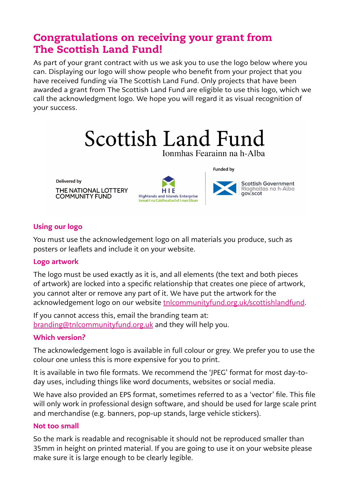# Congratulations on receiving your grant from The Scottish Land Fund!

As part of your grant contract with us we ask you to use the logo below where you can. Displaying our logo will show people who benefit from your project that you have received funding via The Scottish Land Fund. Only projects that have been awarded a grant from The Scottish Land Fund are eligible to use this logo, which we call the acknowledgment logo. We hope you will regard it as visual recognition of your success.



Ionmhas Fearainn na h-Alba

Delivered by

THE NATIONAL LOTTERY **COMMUNITY FUND** 



**Funded by** 



## Using our logo

You must use the acknowledgement logo on all materials you produce, such as posters or leaflets and include it on your website.

## Logo artwork

The logo must be used exactly as it is, and all elements (the text and both pieces of artwork) are locked into a specific relationship that creates one piece of artwork, you cannot alter or remove any part of it. We have put the artwork for the acknowledgement logo on our website [tnlcommunityfund.org.uk/](http://www.tnlcommunityfund.org.uk/scottishlandfund)scottishlandfund.

If you cannot access this, email the branding team at: [branding@tnlcommunityfund.org.uk](mailto:branding%40tnlcommunityfund.org.uk?subject=) and they will help you.

## Which version?

The acknowledgement logo is available in full colour or grey. We prefer you to use the colour one unless this is more expensive for you to print.

It is available in two file formats. We recommend the 'JPEG' format for most day-today uses, including things like word documents, websites or social media.

We have also provided an EPS format, sometimes referred to as a 'vector' file. This file will only work in professional design software, and should be used for large scale print and merchandise (e.g. banners, pop-up stands, large vehicle stickers).

## Not too small

So the mark is readable and recognisable it should not be reproduced smaller than 35mm in height on printed material. If you are going to use it on your website please make sure it is large enough to be clearly legible.